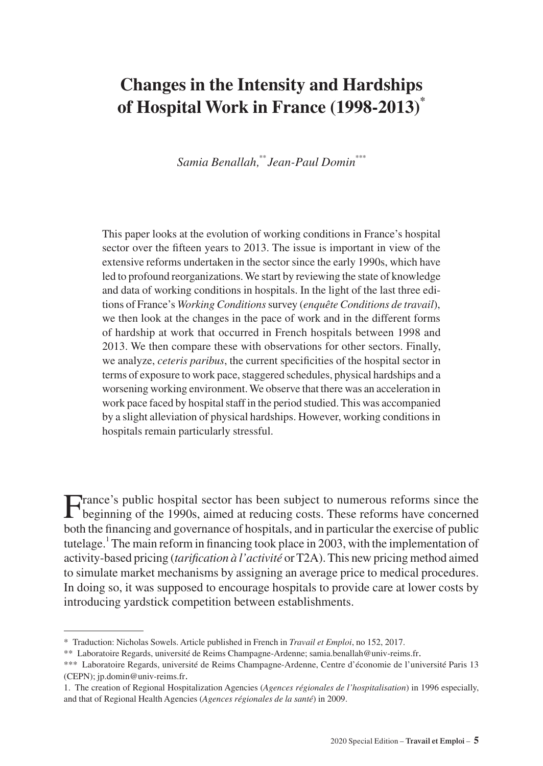# **Changes in the Intensity and Hardships of Hospital Work in France (1998-2013)\***

*Samia Benallah,\*\* Jean-Paul Domin\*\*\**

This paper looks at the evolution of working conditions in France's hospital sector over the fifteen years to 2013. The issue is important in view of the extensive reforms undertaken in the sector since the early 1990s, which have led to profound reorganizations. We start by reviewing the state of knowledge and data of working conditions in hospitals. In the light of the last three editions of France's *Working Conditions* survey (*enquête Conditions de travail*), we then look at the changes in the pace of work and in the different forms of hardship at work that occurred in French hospitals between 1998 and 2013. We then compare these with observations for other sectors. Finally, we analyze, *ceteris paribus*, the current specificities of the hospital sector in terms of exposure to work pace, staggered schedules, physical hardships and a worsening working environment. We observe that there was an acceleration in work pace faced by hospital staff in the period studied. This was accompanied by a slight alleviation of physical hardships. However, working conditions in hospitals remain particularly stressful.

France's public hospital sector has been subject to numerous reforms since the beginning of the 1990s, aimed at reducing costs. These reforms have concerned both the financing and governance of hospitals, and in particular the exercise of public tutelage.<sup>1</sup> The main reform in financing took place in 2003, with the implementation of activity-based pricing (*tarification à l'activité* or T2A). This new pricing method aimed to simulate market mechanisms by assigning an average price to medical procedures. In doing so, it was supposed to encourage hospitals to provide care at lower costs by introducing yardstick competition between establishments.

<sup>\*</sup> Traduction: Nicholas Sowels. Article published in French in *Travail et Emploi*, no 152, 2017.

<sup>\*\*</sup> Laboratoire Regards, université de Reims Champagne-Ardenne; [samia.benallah@univ-reims.fr.](mailto:samia.benallah@univ-reims.fr)

<sup>\*\*\*</sup> Laboratoire Regards, université de Reims Champagne-Ardenne, Centre d'économie de l'université Paris 13 (CEPN); [jp.domin@univ-reims.fr](mailto:jp.domin@univ-reims.fr).

<sup>1.</sup> The creation of Regional Hospitalization Agencies (*Agences régionales de l'hospitalisation*) in 1996 especially, and that of Regional Health Agencies (*Agences régionales de la santé*) in 2009.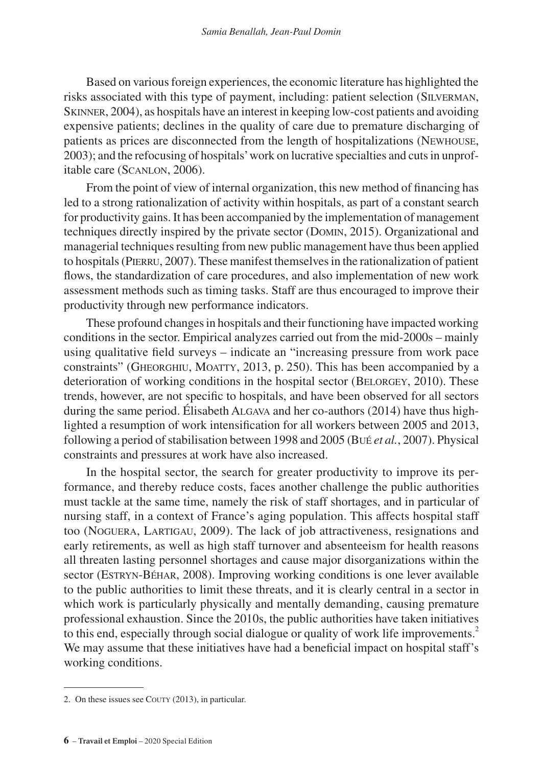Based on various foreign experiences, the economic literature has highlighted the risks associated with this type of payment, including: patient selection (Silverman, SKINNER, 2004), as hospitals have an interest in keeping low-cost patients and avoiding expensive patients; declines in the quality of care due to premature discharging of patients as prices are disconnected from the length of hospitalizations (Newhouse, 2003); and the refocusing of hospitals' work on lucrative specialties and cuts in unprofitable care (Scanlon, 2006).

From the point of view of internal organization, this new method of financing has led to a strong rationalization of activity within hospitals, as part of a constant search for productivity gains. It has been accompanied by the implementation of management techniques directly inspired by the private sector (Domin, 2015). Organizational and managerial techniques resulting from new public management have thus been applied to hospitals(Pierru, 2007). These manifest themselves in the rationalization of patient flows, the standardization of care procedures, and also implementation of new work assessment methods such as timing tasks. Staff are thus encouraged to improve their productivity through new performance indicators.

These profound changes in hospitals and their functioning have impacted working conditions in the sector. Empirical analyzes carried out from the mid-2000s – mainly using qualitative field surveys – indicate an "increasing pressure from work pace constraints" (Gheorghiu, Moatty, 2013, p. 250). This has been accompanied by a deterioration of working conditions in the hospital sector (BELORGEY, 2010). These trends, however, are not specific to hospitals, and have been observed for all sectors during the same period. Élisabeth Algava and her co-authors (2014) have thus highlighted a resumption of work intensification for all workers between 2005 and 2013, following a period of stabilisation between 1998 and 2005 (Bué *et al.*, 2007). Physical constraints and pressures at work have also increased.

In the hospital sector, the search for greater productivity to improve its performance, and thereby reduce costs, faces another challenge the public authorities must tackle at the same time, namely the risk of staff shortages, and in particular of nursing staff, in a context of France's aging population. This affects hospital staff too (Noguera, Lartigau, 2009). The lack of job attractiveness, resignations and early retirements, as well as high staff turnover and absenteeism for health reasons all threaten lasting personnel shortages and cause major disorganizations within the sector (ESTRYN-BÉHAR, 2008). Improving working conditions is one lever available to the public authorities to limit these threats, and it is clearly central in a sector in which work is particularly physically and mentally demanding, causing premature professional exhaustion. Since the 2010s, the public authorities have taken initiatives to this end, especially through social dialogue or quality of work life improvements.<sup>2</sup> We may assume that these initiatives have had a beneficial impact on hospital staff's working conditions.

<sup>2.</sup> On these issues see COUTY (2013), in particular.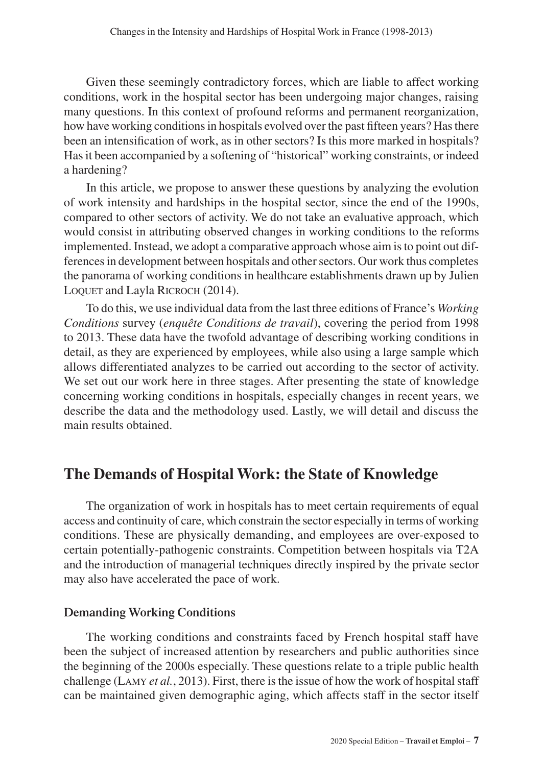Given these seemingly contradictory forces, which are liable to affect working conditions, work in the hospital sector has been undergoing major changes, raising many questions. In this context of profound reforms and permanent reorganization, how have working conditions in hospitals evolved over the past fifteen years? Has there been an intensification of work, as in other sectors? Is this more marked in hospitals? Has it been accompanied by a softening of "historical" working constraints, or indeed a hardening?

In this article, we propose to answer these questions by analyzing the evolution of work intensity and hardships in the hospital sector, since the end of the 1990s, compared to other sectors of activity. We do not take an evaluative approach, which would consist in attributing observed changes in working conditions to the reforms implemented. Instead, we adopt a comparative approach whose aim is to point out differences in development between hospitals and other sectors. Our work thus completes the panorama of working conditions in healthcare establishments drawn up by Julien LOQUET and Layla RICROCH (2014).

To do this, we use individual data from the last three editions of France's *Working Conditions* survey (*enquête Conditions de travail*), covering the period from 1998 to 2013. These data have the twofold advantage of describing working conditions in detail, as they are experienced by employees, while also using a large sample which allows differentiated analyzes to be carried out according to the sector of activity. We set out our work here in three stages. After presenting the state of knowledge concerning working conditions in hospitals, especially changes in recent years, we describe the data and the methodology used. Lastly, we will detail and discuss the main results obtained.

## **The Demands of Hospital Work: the State of Knowledge**

The organization of work in hospitals has to meet certain requirements of equal access and continuity of care, which constrain the sector especially in terms of working conditions. These are physically demanding, and employees are over-exposed to certain potentially-pathogenic constraints. Competition between hospitals via T2A and the introduction of managerial techniques directly inspired by the private sector may also have accelerated the pace of work.

## **Demanding Working Conditions**

The working conditions and constraints faced by French hospital staff have been the subject of increased attention by researchers and public authorities since the beginning of the 2000s especially. These questions relate to a triple public health challenge (Lamy *et al.*, 2013). First, there is the issue of how the work of hospital staff can be maintained given demographic aging, which affects staff in the sector itself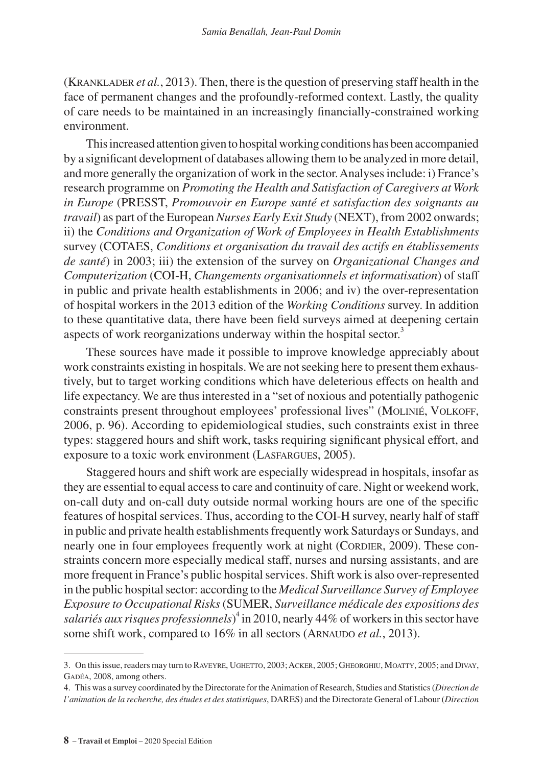(Kranklader *et al.*, 2013). Then, there is the question of preserving staff health in the face of permanent changes and the profoundly-reformed context. Lastly, the quality of care needs to be maintained in an increasingly financially-constrained working environment.

This increased attention given to hospital working conditions has been accompanied by a significant development of databases allowing them to be analyzed in more detail, and more generally the organization of work in the sector. Analyses include: i) France's research programme on *Promoting the Health and Satisfaction of Caregivers at Work in Europe* (PRESST, *Promouvoir en Europe santé et satisfaction des soignants au travail*) as part of the European *Nurses Early Exit Study* (NEXT), from 2002 onwards; ii) the *Conditions and Organization of Work of Employees in Health Establishments*  survey (COTAES, *Conditions et organisation du travail des actifs en établissements de santé*) in 2003; iii) the extension of the survey on *Organizational Changes and Computerization* (COI-H, *Changements organisationnels et informatisation*) of staff in public and private health establishments in 2006; and iv) the over-representation of hospital workers in the 2013 edition of the *Working Conditions* survey. In addition to these quantitative data, there have been field surveys aimed at deepening certain aspects of work reorganizations underway within the hospital sector.<sup>3</sup>

These sources have made it possible to improve knowledge appreciably about work constraints existing in hospitals. We are not seeking here to present them exhaustively, but to target working conditions which have deleterious effects on health and life expectancy. We are thus interested in a "set of noxious and potentially pathogenic constraints present throughout employees' professional lives" (MOLINIÉ, VOLKOFF, 2006, p. 96). According to epidemiological studies, such constraints exist in three types: staggered hours and shift work, tasks requiring significant physical effort, and exposure to a toxic work environment (Lasfargues, 2005).

Staggered hours and shift work are especially widespread in hospitals, insofar as they are essential to equal access to care and continuity of care. Night or weekend work, on-call duty and on-call duty outside normal working hours are one of the specific features of hospital services. Thus, according to the COI-H survey, nearly half of staff in public and private health establishments frequently work Saturdays or Sundays, and nearly one in four employees frequently work at night (CORDIER, 2009). These constraints concern more especially medical staff, nurses and nursing assistants, and are more frequent in France's public hospital services. Shift work is also over-represented in the public hospital sector: according to the *Medical Surveillance Survey of Employee Exposure to Occupational Risks* (SUMER, *Surveillance médicale des expositions des*  salariés aux risques professionnels)<sup>4</sup> in 2010, nearly 44% of workers in this sector have some shift work, compared to 16% in all sectors (ARNAUDO *et al.*, 2013).

<sup>3.</sup> On this issue, readers may turn to RAVEYRE, UGHETTO, 2003; ACKER, 2005; GHEORGHIU, MOATTY, 2005; and DIVAY, Gadéa, 2008, among others.

<sup>4.</sup> This was a survey coordinated by the Directorate for the Animation of Research, Studies and Statistics (*Direction de l'animation de la recherche, des études et des statistiques*, DARES) and the Directorate General of Labour (*Direction*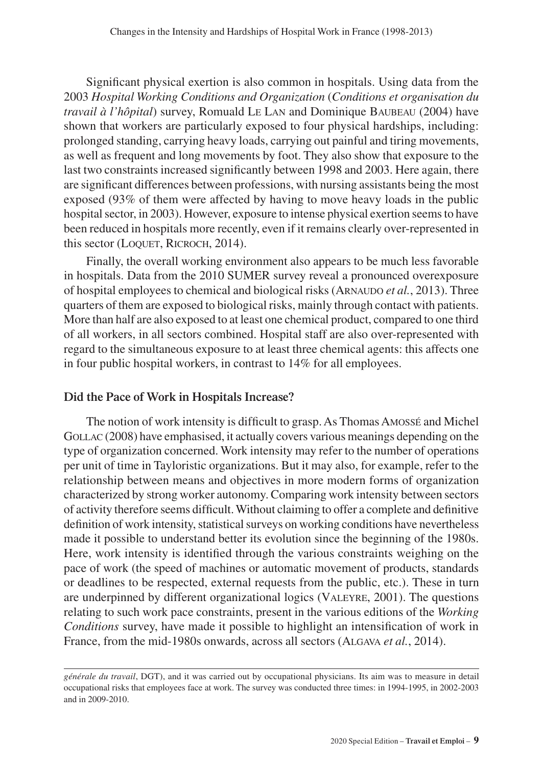Significant physical exertion is also common in hospitals. Using data from the 2003 *Hospital Working Conditions and Organization* (*Conditions et organisation du travail à l'hôpital*) survey, Romuald Le Lan and Dominique Baubeau (2004) have shown that workers are particularly exposed to four physical hardships, including: prolonged standing, carrying heavy loads, carrying out painful and tiring movements, as well as frequent and long movements by foot. They also show that exposure to the last two constraints increased significantly between 1998 and 2003. Here again, there are significant differences between professions, with nursing assistants being the most exposed (93% of them were affected by having to move heavy loads in the public hospital sector, in 2003). However, exposure to intense physical exertion seems to have been reduced in hospitals more recently, even if it remains clearly over-represented in this sector (LOQUET, RICROCH, 2014).

Finally, the overall working environment also appears to be much less favorable in hospitals. Data from the 2010 SUMER survey reveal a pronounced overexposure of hospital employees to chemical and biological risks (Arnaudo *et al.*, 2013). Three quarters of them are exposed to biological risks, mainly through contact with patients. More than half are also exposed to at least one chemical product, compared to one third of all workers, in all sectors combined. Hospital staff are also over-represented with regard to the simultaneous exposure to at least three chemical agents: this affects one in four public hospital workers, in contrast to 14% for all employees.

## **Did the Pace of Work in Hospitals Increase?**

The notion of work intensity is difficult to grasp. As Thomas Amossé and Michel GOLLAC (2008) have emphasised, it actually covers various meanings depending on the type of organization concerned. Work intensity may refer to the number of operations per unit of time in Tayloristic organizations. But it may also, for example, refer to the relationship between means and objectives in more modern forms of organization characterized by strong worker autonomy. Comparing work intensity between sectors of activity therefore seems difficult. Without claiming to offer a complete and definitive definition of work intensity, statistical surveys on working conditions have nevertheless made it possible to understand better its evolution since the beginning of the 1980s. Here, work intensity is identified through the various constraints weighing on the pace of work (the speed of machines or automatic movement of products, standards or deadlines to be respected, external requests from the public, etc.). These in turn are underpinned by different organizational logics (Valeyre, 2001). The questions relating to such work pace constraints, present in the various editions of the *Working Conditions* survey, have made it possible to highlight an intensification of work in France, from the mid-1980s onwards, across all sectors (Algava *et al.*, 2014).

*générale du travail*, DGT), and it was carried out by occupational physicians. Its aim was to measure in detail occupational risks that employees face at work. The survey was conducted three times: in 1994-1995, in 2002-2003 and in 2009-2010.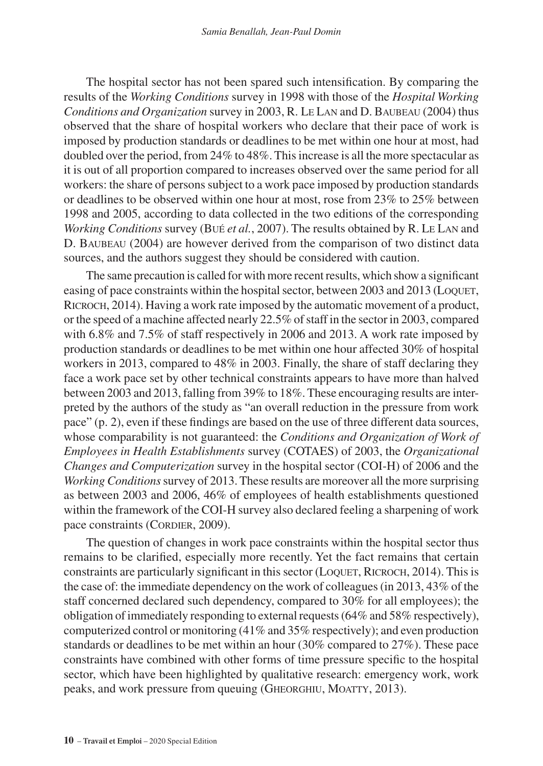The hospital sector has not been spared such intensification. By comparing the results of the *Working Conditions* survey in 1998 with those of the *Hospital Working Conditions and Organization* survey in 2003, R. Le Lan and D. Baubeau (2004) thus observed that the share of hospital workers who declare that their pace of work is imposed by production standards or deadlines to be met within one hour at most, had doubled over the period, from 24% to 48%. This increase is all the more spectacular as it is out of all proportion compared to increases observed over the same period for all workers: the share of persons subject to a work pace imposed by production standards or deadlines to be observed within one hour at most, rose from 23% to 25% between 1998 and 2005, according to data collected in the two editions of the corresponding *Working Conditions* survey (Bué *et al.*, 2007). The results obtained by R. Le Lan and D. Baubeau (2004) are however derived from the comparison of two distinct data sources, and the authors suggest they should be considered with caution.

The same precaution is called for with more recent results, which show a significant easing of pace constraints within the hospital sector, between 2003 and 2013 (LOQUET, Ricroch, 2014). Having a work rate imposed by the automatic movement of a product, or the speed of a machine affected nearly 22.5% of staff in the sector in 2003, compared with 6.8% and 7.5% of staff respectively in 2006 and 2013. A work rate imposed by production standards or deadlines to be met within one hour affected 30% of hospital workers in 2013, compared to 48% in 2003. Finally, the share of staff declaring they face a work pace set by other technical constraints appears to have more than halved between 2003 and 2013, falling from 39% to 18%. These encouraging results are interpreted by the authors of the study as "an overall reduction in the pressure from work pace" (p. 2), even if these findings are based on the use of three different data sources, whose comparability is not guaranteed: the *Conditions and Organization of Work of Employees in Health Establishments* survey (COTAES) of 2003, the *Organizational Changes and Computerization* survey in the hospital sector (COI-H) of 2006 and the *Working Conditions* survey of 2013. These results are moreover all the more surprising as between 2003 and 2006, 46% of employees of health establishments questioned within the framework of the COI-H survey also declared feeling a sharpening of work pace constraints (CORDIER, 2009).

The question of changes in work pace constraints within the hospital sector thus remains to be clarified, especially more recently. Yet the fact remains that certain constraints are particularly significant in this sector (LOQUET, RICROCH, 2014). This is the case of: the immediate dependency on the work of colleagues (in 2013, 43% of the staff concerned declared such dependency, compared to 30% for all employees); the obligation of immediately responding to external requests (64% and 58% respectively), computerized control or monitoring (41% and 35% respectively); and even production standards or deadlines to be met within an hour (30% compared to 27%). These pace constraints have combined with other forms of time pressure specific to the hospital sector, which have been highlighted by qualitative research: emergency work, work peaks, and work pressure from queuing (Gheorghiu, Moatty, 2013).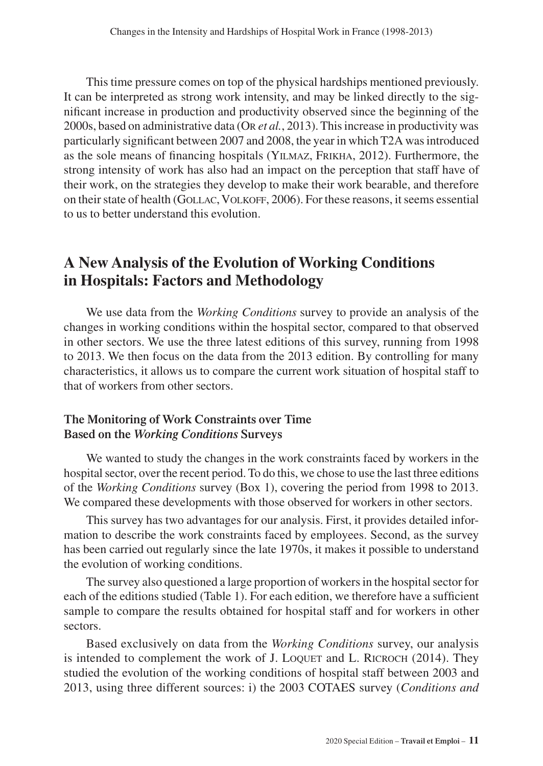This time pressure comes on top of the physical hardships mentioned previously. It can be interpreted as strong work intensity, and may be linked directly to the significant increase in production and productivity observed since the beginning of the 2000s, based on administrative data (Or *et al.*, 2013). This increase in productivity was particularly significant between 2007 and 2008, the year in which T2A was introduced as the sole means of financing hospitals (Yilmaz, Frikha, 2012). Furthermore, the strong intensity of work has also had an impact on the perception that staff have of their work, on the strategies they develop to make their work bearable, and therefore on their state of health (Gollac, Volkoff, 2006). For these reasons, it seems essential to us to better understand this evolution.

## **A New Analysis of the Evolution of Working Conditions in Hospitals: Factors and Methodology**

We use data from the *Working Conditions* survey to provide an analysis of the changes in working conditions within the hospital sector, compared to that observed in other sectors. We use the three latest editions of this survey, running from 1998 to 2013. We then focus on the data from the 2013 edition. By controlling for many characteristics, it allows us to compare the current work situation of hospital staff to that of workers from other sectors.

## **The Monitoring of Work Constraints over Time Based on the** *Working Conditions* **Surveys**

We wanted to study the changes in the work constraints faced by workers in the hospital sector, over the recent period. To do this, we chose to use the last three editions of the *Working Conditions* survey (Box 1), covering the period from 1998 to 2013. We compared these developments with those observed for workers in other sectors.

This survey has two advantages for our analysis. First, it provides detailed information to describe the work constraints faced by employees. Second, as the survey has been carried out regularly since the late 1970s, it makes it possible to understand the evolution of working conditions.

The survey also questioned a large proportion of workers in the hospital sector for each of the editions studied (Table 1). For each edition, we therefore have a sufficient sample to compare the results obtained for hospital staff and for workers in other sectors.

Based exclusively on data from the *Working Conditions* survey, our analysis is intended to complement the work of J. Loquet and L. RICROCH (2014). They studied the evolution of the working conditions of hospital staff between 2003 and 2013, using three different sources: i) the 2003 COTAES survey (*Conditions and*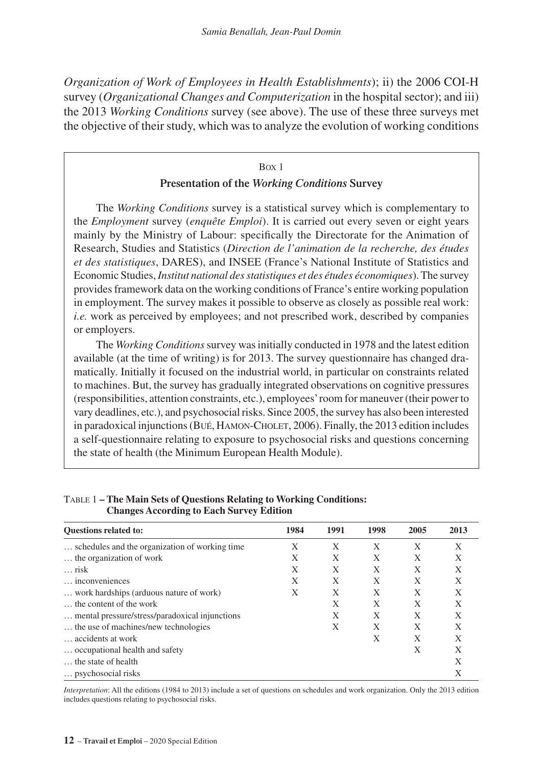*Organization of Work of Employees in Health Establishments*); ii) the 2006 COI-H survey (*Organizational Changes and Computerization* in the hospital sector); and iii) the 2013 *Working Conditions* survey (see above). The use of these three surveys met the objective of their study, which was to analyze the evolution of working conditions

#### Box 1

#### **Presentation of the** *Working Conditions* **Survey**

The *Working Conditions* survey is a statistical survey which is complementary to the *Employment* survey (*enquête Emploi*). It is carried out every seven or eight years mainly by the Ministry of Labour: specifically the Directorate for the Animation of Research, Studies and Statistics (*Direction de l'animation de la recherche, des études et des statistiques*, DARES), and INSEE (France's National Institute of Statistics and Economic Studies, *Institut national des statistiques et des études économiques*). The survey provides framework data on the working conditions of France's entire working population in employment. The survey makes it possible to observe as closely as possible real work: *i.e.* work as perceived by employees; and not prescribed work, described by companies or employers.

The *Working Conditions* survey was initially conducted in 1978 and the latest edition available (at the time of writing) is for 2013. The survey questionnaire has changed dramatically. Initially it focused on the industrial world, in particular on constraints related to machines. But, the survey has gradually integrated observations on cognitive pressures (responsibilities, attention constraints, etc.), employees' room for maneuver (their power to vary deadlines, etc.), and psychosocial risks. Since 2005, the survey has also been interested in paradoxical injunctions (Bué, Hamon-Cholet, 2006). Finally, the 2013 edition includes a self-questionnaire relating to exposure to psychosocial risks and questions concerning the state of health (the Minimum European Health Module).

| <b>Ouestions related to:</b>                   | 1984 | 1991 | 1998 | 2005 | 2013 |
|------------------------------------------------|------|------|------|------|------|
| schedules and the organization of working time | X    | X    | X    | X    | X    |
| the organization of work                       | X    | X    | X    | X    | X    |
| $\ldots$ risk                                  | X    | X    | X    | X    | X    |
| inconveniences                                 | X    | X    | X    | X    | X    |
| work hardships (arduous nature of work)        | X    | X    | X    | X    | X    |
| the content of the work                        |      | X    | X    | X    | X    |
| mental pressure/stress/paradoxical injunctions |      | X    | X    | X    | X    |
| the use of machines/new technologies           |      | X    | X    | X    | X    |
| accidents at work                              |      |      | X    | X    | X    |
| occupational health and safety                 |      |      |      | X    | X    |
| the state of health                            |      |      |      |      | X    |
| psychosocial risks                             |      |      |      |      | Χ    |

#### Table 1 **– The Main Sets of Questions Relating to Working Conditions: Changes According to Each Survey Edition**

*Interpretation*: All the editions (1984 to 2013) include a set of questions on schedules and work organization. Only the 2013 edition includes questions relating to psychosocial risks.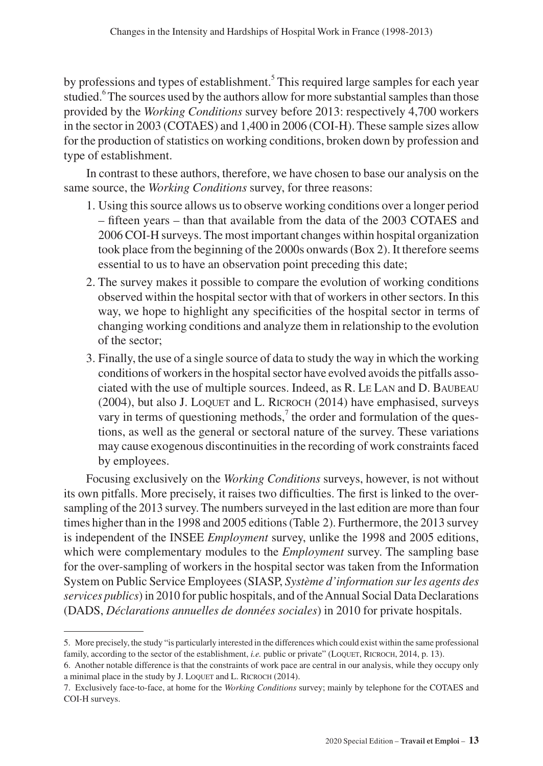by professions and types of establishment.<sup>5</sup> This required large samples for each year studied.<sup>6</sup> The sources used by the authors allow for more substantial samples than those provided by the *Working Conditions* survey before 2013: respectively 4,700 workers in the sector in 2003 (COTAES) and 1,400 in 2006 (COI-H). These sample sizes allow for the production of statistics on working conditions, broken down by profession and type of establishment.

In contrast to these authors, therefore, we have chosen to base our analysis on the same source, the *Working Conditions* survey, for three reasons:

- 1. Using this source allows us to observe working conditions over a longer period – fifteen years – than that available from the data of the 2003 COTAES and 2006 COI-H surveys. The most important changes within hospital organization took place from the beginning of the 2000s onwards (Box 2). It therefore seems essential to us to have an observation point preceding this date;
- 2. The survey makes it possible to compare the evolution of working conditions observed within the hospital sector with that of workers in other sectors. In this way, we hope to highlight any specificities of the hospital sector in terms of changing working conditions and analyze them in relationship to the evolution of the sector;
- 3. Finally, the use of a single source of data to study the way in which the working conditions of workers in the hospital sector have evolved avoids the pitfalls associated with the use of multiple sources. Indeed, as R. Le Lan and D. Baubeau  $(2004)$ , but also J. LOQUET and L. RICROCH  $(2014)$  have emphasised, surveys vary in terms of questioning methods, $\lambda$  the order and formulation of the questions, as well as the general or sectoral nature of the survey. These variations may cause exogenous discontinuities in the recording of work constraints faced by employees.

Focusing exclusively on the *Working Conditions* surveys, however, is not without its own pitfalls. More precisely, it raises two difficulties. The first is linked to the oversampling of the 2013 survey. The numbers surveyed in the last edition are more than four times higher than in the 1998 and 2005 editions (Table 2). Furthermore, the 2013 survey is independent of the INSEE *Employment* survey, unlike the 1998 and 2005 editions, which were complementary modules to the *Employment* survey. The sampling base for the over-sampling of workers in the hospital sector was taken from the Information System on Public Service Employees (SIASP, *Système d'information sur les agents des services publics*) in 2010 for public hospitals, and of the Annual Social Data Declarations (DADS, *Déclarations annuelles de données sociales*) in 2010 for private hospitals.

<sup>5.</sup> More precisely, the study "is particularly interested in the differences which could exist within the same professional family, according to the sector of the establishment, *i.e.* public or private" (LOQUET, RICROCH, 2014, p. 13).

<sup>6.</sup> Another notable difference is that the constraints of work pace are central in our analysis, while they occupy only a minimal place in the study by J. LOQUET and L. RICROCH (2014).

<sup>7.</sup> Exclusively face-to-face, at home for the *Working Conditions* survey; mainly by telephone for the COTAES and COI-H surveys.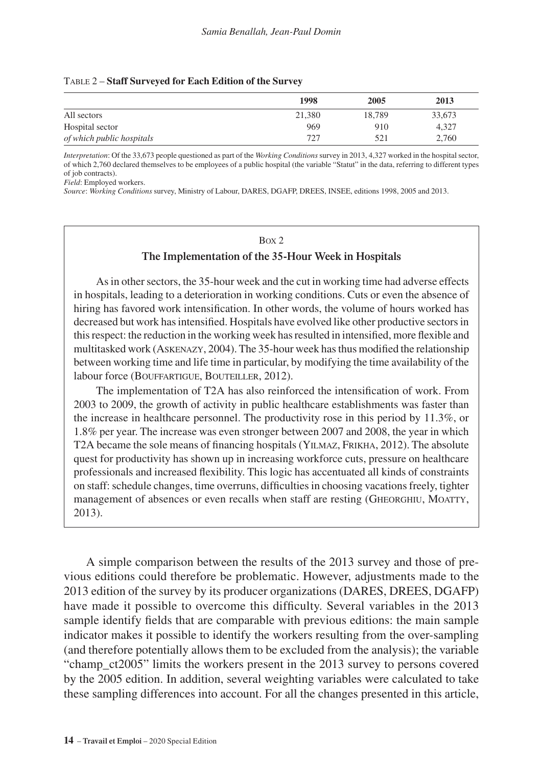#### Table 2 – **Staff Surveyed for Each Edition of the Survey**

|                           | 1998   | 2005   | 2013   |
|---------------------------|--------|--------|--------|
| All sectors               | 21,380 | 18.789 | 33,673 |
| Hospital sector           | 969    | 910    | 4.327  |
| of which public hospitals | 727    | 521    | 2.760  |

*Interpretation*: Of the 33,673 people questioned as part of the *Working Conditions* survey in 2013, 4,327 worked in the hospital sector, of which 2,760 declared themselves to be employees of a public hospital (the variable "Statut" in the data, referring to different types of job contracts).

*Field*: Employed workers.

*Source*: *Working Conditions* survey, Ministry of Labour, DARES, DGAFP, DREES, INSEE, editions 1998, 2005 and 2013.

#### Box 2

#### **The Implementation of the 35-Hour Week in Hospitals**

As in other sectors, the 35-hour week and the cut in working time had adverse effects in hospitals, leading to a deterioration in working conditions. Cuts or even the absence of hiring has favored work intensification. In other words, the volume of hours worked has decreased but work has intensified. Hospitals have evolved like other productive sectors in this respect: the reduction in the working week has resulted in intensified, more flexible and multitasked work (Askenazy, 2004). The 35-hour week has thus modified the relationship between working time and life time in particular, by modifying the time availability of the labour force (BOUFFARTIGUE, BOUTEILLER, 2012).

The implementation of T2A has also reinforced the intensification of work. From 2003 to 2009, the growth of activity in public healthcare establishments was faster than the increase in healthcare personnel. The productivity rose in this period by 11.3%, or 1.8% per year. The increase was even stronger between 2007 and 2008, the year in which T2A became the sole means of financing hospitals (Yilmaz, Frikha, 2012). The absolute quest for productivity has shown up in increasing workforce cuts, pressure on healthcare professionals and increased flexibility. This logic has accentuated all kinds of constraints on staff: schedule changes, time overruns, difficulties in choosing vacations freely, tighter management of absences or even recalls when staff are resting (GHEORGHIU, MOATTY, 2013).

A simple comparison between the results of the 2013 survey and those of previous editions could therefore be problematic. However, adjustments made to the 2013 edition of the survey by its producer organizations (DARES, DREES, DGAFP) have made it possible to overcome this difficulty. Several variables in the 2013 sample identify fields that are comparable with previous editions: the main sample indicator makes it possible to identify the workers resulting from the over-sampling (and therefore potentially allows them to be excluded from the analysis); the variable "champ\_ct2005" limits the workers present in the 2013 survey to persons covered by the 2005 edition. In addition, several weighting variables were calculated to take these sampling differences into account. For all the changes presented in this article,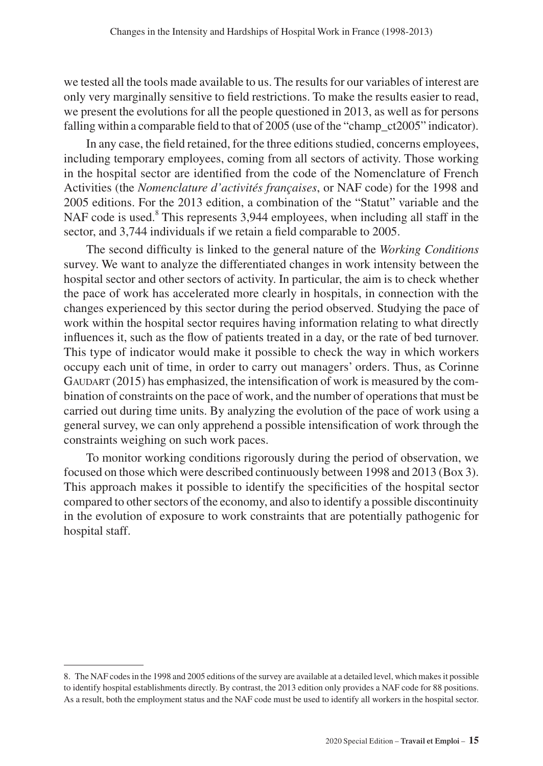we tested all the tools made available to us. The results for our variables of interest are only very marginally sensitive to field restrictions. To make the results easier to read, we present the evolutions for all the people questioned in 2013, as well as for persons falling within a comparable field to that of 2005 (use of the "champ-ct2005" indicator).

In any case, the field retained, for the three editions studied, concerns employees, including temporary employees, coming from all sectors of activity. Those working in the hospital sector are identified from the code of the Nomenclature of French Activities (the *Nomenclature d'activités françaises*, or NAF code) for the 1998 and 2005 editions. For the 2013 edition, a combination of the "Statut" variable and the NAF code is used.<sup>8</sup> This represents 3,944 employees, when including all staff in the sector, and 3,744 individuals if we retain a field comparable to 2005.

The second difficulty is linked to the general nature of the *Working Conditions*  survey. We want to analyze the differentiated changes in work intensity between the hospital sector and other sectors of activity. In particular, the aim is to check whether the pace of work has accelerated more clearly in hospitals, in connection with the changes experienced by this sector during the period observed. Studying the pace of work within the hospital sector requires having information relating to what directly influences it, such as the flow of patients treated in a day, or the rate of bed turnover. This type of indicator would make it possible to check the way in which workers occupy each unit of time, in order to carry out managers' orders. Thus, as Corinne  $G$ AUDART (2015) has emphasized, the intensification of work is measured by the combination of constraints on the pace of work, and the number of operations that must be carried out during time units. By analyzing the evolution of the pace of work using a general survey, we can only apprehend a possible intensification of work through the constraints weighing on such work paces.

To monitor working conditions rigorously during the period of observation, we focused on those which were described continuously between 1998 and 2013 (Box 3). This approach makes it possible to identify the specificities of the hospital sector compared to other sectors of the economy, and also to identify a possible discontinuity in the evolution of exposure to work constraints that are potentially pathogenic for hospital staff.

<sup>8.</sup> The NAF codes in the 1998 and 2005 editions of the survey are available at a detailed level, which makes it possible to identify hospital establishments directly. By contrast, the 2013 edition only provides a NAF code for 88 positions. As a result, both the employment status and the NAF code must be used to identify all workers in the hospital sector.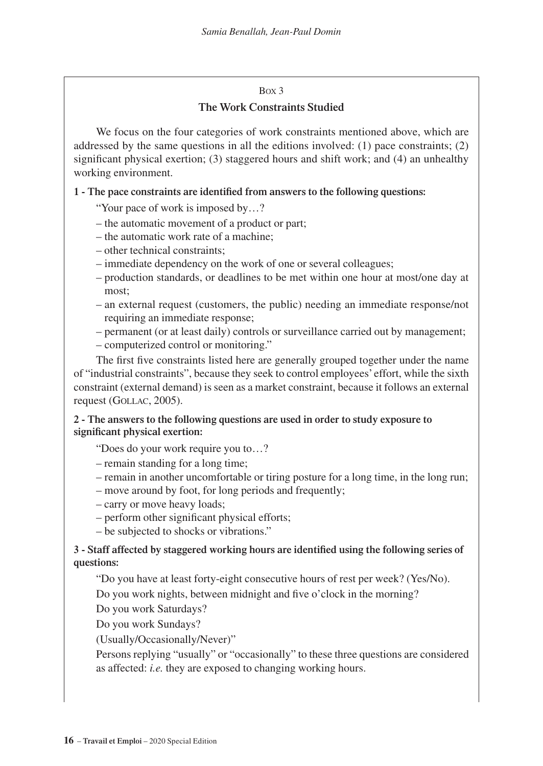#### Box 3

## **The Work Constraints Studied**

We focus on the four categories of work constraints mentioned above, which are addressed by the same questions in all the editions involved: (1) pace constraints; (2) significant physical exertion; (3) staggered hours and shift work; and (4) an unhealthy working environment.

### **1 - The pace constraints are identified from answers to the following questions:**

- "Your pace of work is imposed by…?
- the automatic movement of a product or part;
- the automatic work rate of a machine;
- other technical constraints;
- immediate dependency on the work of one or several colleagues;
- production standards, or deadlines to be met within one hour at most/one day at most;
- an external request (customers, the public) needing an immediate response/not requiring an immediate response;
- permanent (or at least daily) controls or surveillance carried out by management;
- computerized control or monitoring."

The first five constraints listed here are generally grouped together under the name of "industrial constraints", because they seek to control employees' effort, while the sixth constraint (external demand) is seen as a market constraint, because it follows an external request (GOLLAC, 2005).

## **2 - The answers to the following questions are used in order to study exposure to significant physical exertion:**

"Does do your work require you to…?

- remain standing for a long time;
- remain in another uncomfortable or tiring posture for a long time, in the long run;
- move around by foot, for long periods and frequently;
- carry or move heavy loads;
- perform other significant physical efforts;
- be subjected to shocks or vibrations."

### **3 - Staff affected by staggered working hours are identified using the following series of questions:**

"Do you have at least forty-eight consecutive hours of rest per week? (Yes/No). Do you work nights, between midnight and five o'clock in the morning?

Do you work Saturdays?

Do you work Sundays?

(Usually/Occasionally/Never)"

Persons replying "usually" or "occasionally" to these three questions are considered as affected: *i.e.* they are exposed to changing working hours.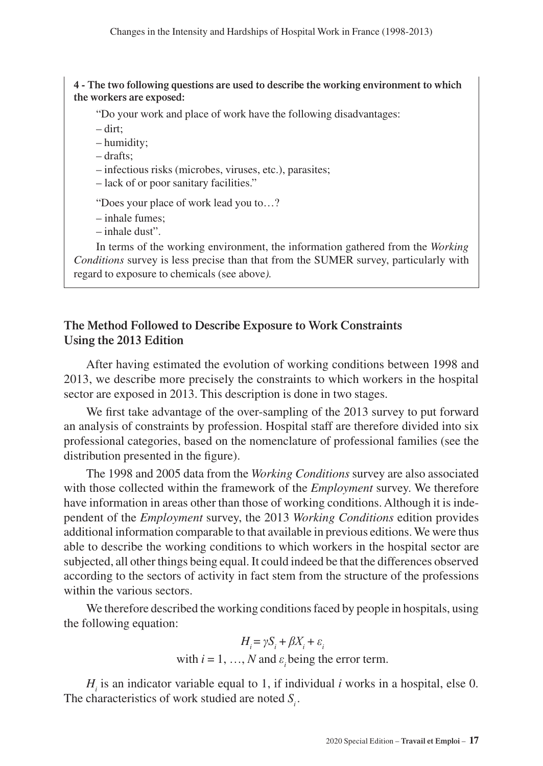#### **4 - The two following questions are used to describe the working environment to which the workers are exposed:**

"Do your work and place of work have the following disadvantages:

- dirt;
- humidity;
- drafts;
- infectious risks (microbes, viruses, etc.), parasites;
- lack of or poor sanitary facilities."
- "Does your place of work lead you to…?
- inhale fumes;
- inhale dust".

In terms of the working environment, the information gathered from the *Working Conditions* survey is less precise than that from the SUMER survey, particularly with regard to exposure to chemicals (see above*).*

## **The Method Followed to Describe Exposure to Work Constraints Using the 2013 Edition**

After having estimated the evolution of working conditions between 1998 and 2013, we describe more precisely the constraints to which workers in the hospital sector are exposed in 2013. This description is done in two stages.

We first take advantage of the over-sampling of the 2013 survey to put forward an analysis of constraints by profession. Hospital staff are therefore divided into six professional categories, based on the nomenclature of professional families (see the distribution presented in the figure).

The 1998 and 2005 data from the *Working Conditions* survey are also associated with those collected within the framework of the *Employment* survey. We therefore have information in areas other than those of working conditions. Although it is independent of the *Employment* survey, the 2013 *Working Conditions* edition provides additional information comparable to that available in previous editions. We were thus able to describe the working conditions to which workers in the hospital sector are subjected, all other things being equal. It could indeed be that the differences observed according to the sectors of activity in fact stem from the structure of the professions within the various sectors.

We therefore described the working conditions faced by people in hospitals, using the following equation:

$$
H_i = \gamma S_i + \beta X_i + \varepsilon_i
$$
  
with  $i = 1, ..., N$  and  $\varepsilon_i$  being the error term.

 $H_i$  is an indicator variable equal to 1, if individual *i* works in a hospital, else 0. The characteristics of work studied are noted  $S_i$ .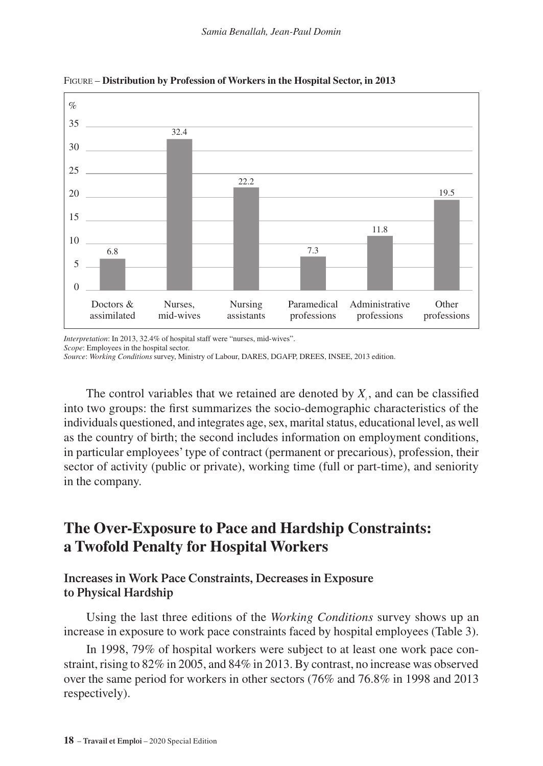

Figure – **Distribution by Profession of Workers in the Hospital Sector, in 2013**

*Interpretation*: In 2013, 32.4% of hospital staff were "nurses, mid-wives".

*Scope*: Employees in the hospital sector.

*Source*: *Working Conditions* survey, Ministry of Labour, DARES, DGAFP, DREES, INSEE, 2013 edition.

The control variables that we retained are denoted by  $X_i$ , and can be classified into two groups: the first summarizes the socio-demographic characteristics of the individuals questioned, and integrates age, sex, marital status, educational level, as well as the country of birth; the second includes information on employment conditions, in particular employees' type of contract (permanent or precarious), profession, their sector of activity (public or private), working time (full or part-time), and seniority in the company.

## **The Over-Exposure to Pace and Hardship Constraints: a Twofold Penalty for Hospital Workers**

## **Increases in Work Pace Constraints, Decreases in Exposure to Physical Hardship**

Using the last three editions of the *Working Conditions* survey shows up an increase in exposure to work pace constraints faced by hospital employees (Table 3).

In 1998, 79% of hospital workers were subject to at least one work pace constraint, rising to 82% in 2005, and 84% in 2013. By contrast, no increase was observed over the same period for workers in other sectors (76% and 76.8% in 1998 and 2013 respectively).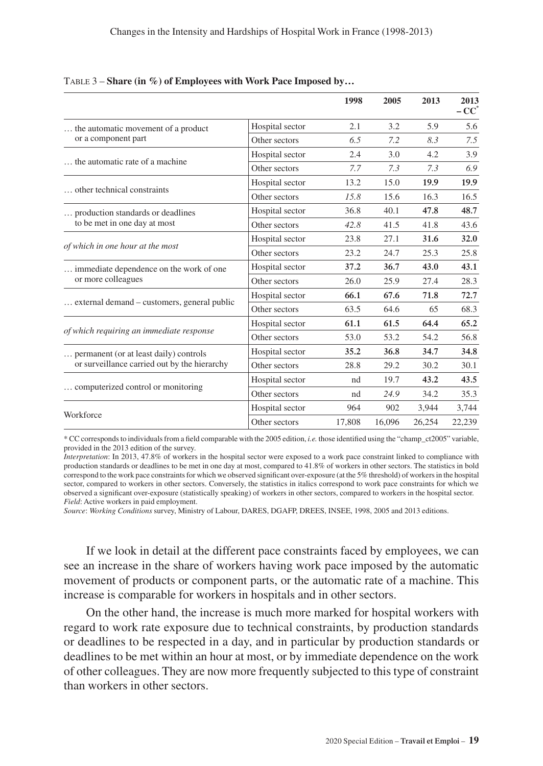|                                              |                 | 1998   | 2005   | 2013   | 2013<br>$-CC^*$ |
|----------------------------------------------|-----------------|--------|--------|--------|-----------------|
| the automatic movement of a product          | Hospital sector | 2.1    | 3.2    | 5.9    | 5.6             |
| or a component part                          | Other sectors   | 6.5    | 7.2    | 8.3    | 7.5             |
|                                              | Hospital sector | 2.4    | 3.0    | 4.2    | 3.9             |
| the automatic rate of a machine.             | Other sectors   | 7.7    | 7.3    | 7.3    | 6.9             |
|                                              | Hospital sector | 13.2   | 15.0   | 19.9   | 19.9            |
| other technical constraints                  | Other sectors   | 15.8   | 15.6   | 16.3   | 16.5            |
| production standards or deadlines            | Hospital sector | 36.8   | 40.1   | 47.8   | 48.7            |
| to be met in one day at most                 | Other sectors   | 42.8   | 41.5   | 41.8   | 43.6            |
|                                              | Hospital sector | 23.8   | 27.1   | 31.6   | 32.0            |
| of which in one hour at the most             | Other sectors   | 23.2   | 24.7   | 25.3   | 25.8            |
| immediate dependence on the work of one      | Hospital sector | 37.2   | 36.7   | 43.0   | 43.1            |
| or more colleagues                           | Other sectors   | 26.0   | 25.9   | 27.4   | 28.3            |
|                                              | Hospital sector | 66.1   | 67.6   | 71.8   | 72.7            |
| external demand – customers, general public  | Other sectors   | 63.5   | 64.6   | 65     | 68.3            |
|                                              | Hospital sector | 61.1   | 61.5   | 64.4   | 65.2            |
| of which requiring an immediate response     | Other sectors   | 53.0   | 53.2   | 54.2   | 56.8            |
| permanent (or at least daily) controls       | Hospital sector | 35.2   | 36.8   | 34.7   | 34.8            |
| or surveillance carried out by the hierarchy | Other sectors   | 28.8   | 29.2   | 30.2   | 30.1            |
|                                              | Hospital sector | nd     | 19.7   | 43.2   | 43.5            |
| computerized control or monitoring           | Other sectors   | nd     | 24.9   | 34.2   | 35.3            |
|                                              | Hospital sector | 964    | 902    | 3,944  | 3,744           |
| Workforce                                    | Other sectors   | 17,808 | 16,096 | 26,254 | 22,239          |

#### Table 3 – **Share (in %) of Employees with Work Pace Imposed by…**

\* CC corresponds to individuals from a field comparable with the 2005 edition, *i.e.* those identified using the "champ\_ct2005" variable, provided in the 2013 edition of the survey.

*Interpretation*: In 2013, 47.8% of workers in the hospital sector were exposed to a work pace constraint linked to compliance with production standards or deadlines to be met in one day at most, compared to 41.8% of workers in other sectors. The statistics in bold correspond to the work pace constraints for which we observed significant over-exposure (at the 5% threshold) of workers in the hospital sector, compared to workers in other sectors. Conversely, the statistics in italics correspond to work pace constraints for which we observed a significant over-exposure (statistically speaking) of workers in other sectors, compared to workers in the hospital sector. *Field*: Active workers in paid employment.

*Source*: *Working Conditions* survey, Ministry of Labour, DARES, DGAFP, DREES, INSEE, 1998, 2005 and 2013 editions.

If we look in detail at the different pace constraints faced by employees, we can see an increase in the share of workers having work pace imposed by the automatic movement of products or component parts, or the automatic rate of a machine. This increase is comparable for workers in hospitals and in other sectors.

On the other hand, the increase is much more marked for hospital workers with regard to work rate exposure due to technical constraints, by production standards or deadlines to be respected in a day, and in particular by production standards or deadlines to be met within an hour at most, or by immediate dependence on the work of other colleagues. They are now more frequently subjected to this type of constraint than workers in other sectors.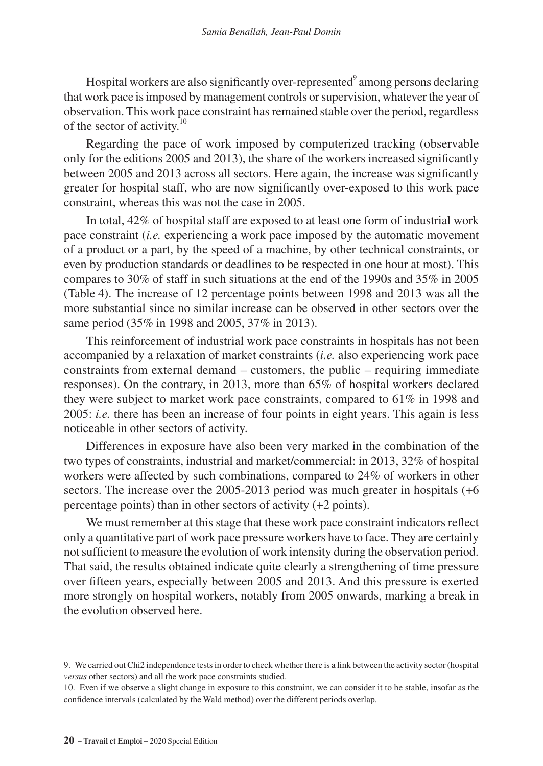Hospital workers are also significantly over-represented $^9$  among persons declaring that work pace is imposed by management controls or supervision, whatever the year of observation. This work pace constraint has remained stable over the period, regardless of the sector of activity.<sup>10</sup>

Regarding the pace of work imposed by computerized tracking (observable only for the editions 2005 and 2013), the share of the workers increased significantly between 2005 and 2013 across all sectors. Here again, the increase was significantly greater for hospital staff, who are now significantly over-exposed to this work pace constraint, whereas this was not the case in 2005.

In total, 42% of hospital staff are exposed to at least one form of industrial work pace constraint (*i.e.* experiencing a work pace imposed by the automatic movement of a product or a part, by the speed of a machine, by other technical constraints, or even by production standards or deadlines to be respected in one hour at most). This compares to 30% of staff in such situations at the end of the 1990s and 35% in 2005 (Table 4). The increase of 12 percentage points between 1998 and 2013 was all the more substantial since no similar increase can be observed in other sectors over the same period (35% in 1998 and 2005, 37% in 2013).

This reinforcement of industrial work pace constraints in hospitals has not been accompanied by a relaxation of market constraints (*i.e.* also experiencing work pace constraints from external demand – customers, the public – requiring immediate responses). On the contrary, in 2013, more than 65% of hospital workers declared they were subject to market work pace constraints, compared to 61% in 1998 and 2005: *i.e.* there has been an increase of four points in eight years. This again is less noticeable in other sectors of activity.

Differences in exposure have also been very marked in the combination of the two types of constraints, industrial and market/commercial: in 2013, 32% of hospital workers were affected by such combinations, compared to 24% of workers in other sectors. The increase over the 2005-2013 period was much greater in hospitals (+6 percentage points) than in other sectors of activity (+2 points).

We must remember at this stage that these work pace constraint indicators reflect only a quantitative part of work pace pressure workers have to face. They are certainly not sufficient to measure the evolution of work intensity during the observation period. That said, the results obtained indicate quite clearly a strengthening of time pressure over fifteen years, especially between 2005 and 2013. And this pressure is exerted more strongly on hospital workers, notably from 2005 onwards, marking a break in the evolution observed here.

<sup>9.</sup> We carried out Chi2 independence tests in order to check whether there is a link between the activity sector (hospital *versus* other sectors) and all the work pace constraints studied.

<sup>10.</sup> Even if we observe a slight change in exposure to this constraint, we can consider it to be stable, insofar as the confidence intervals (calculated by the Wald method) over the different periods overlap.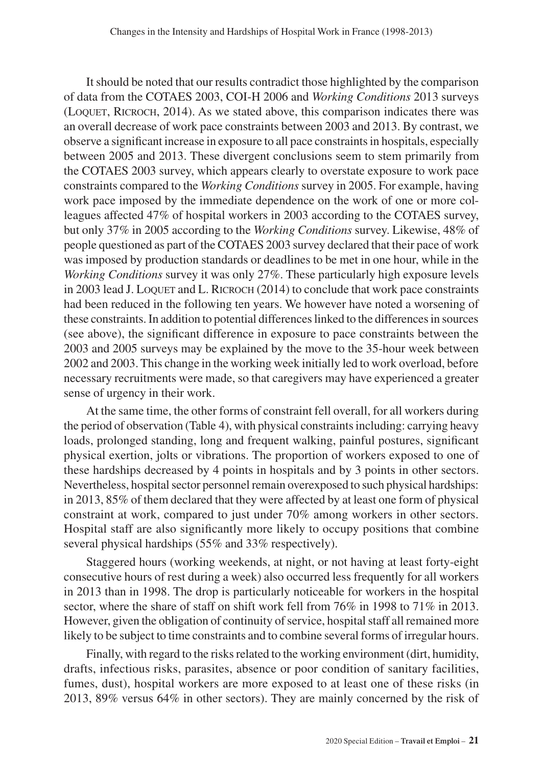It should be noted that our results contradict those highlighted by the comparison of data from the COTAES 2003, COI-H 2006 and *Working Conditions* 2013 surveys (LOOUET, RICROCH, 2014). As we stated above, this comparison indicates there was an overall decrease of work pace constraints between 2003 and 2013. By contrast, we observe a significant increase in exposure to all pace constraints in hospitals, especially between 2005 and 2013. These divergent conclusions seem to stem primarily from the COTAES 2003 survey, which appears clearly to overstate exposure to work pace constraints compared to the *Working Conditions* survey in 2005. For example, having work pace imposed by the immediate dependence on the work of one or more colleagues affected 47% of hospital workers in 2003 according to the COTAES survey, but only 37% in 2005 according to the *Working Conditions* survey. Likewise, 48% of people questioned as part of the COTAES 2003 survey declared that their pace of work was imposed by production standards or deadlines to be met in one hour, while in the *Working Conditions* survey it was only 27%. These particularly high exposure levels in 2003 lead J. Loquet and L. RICROCH (2014) to conclude that work pace constraints had been reduced in the following ten years. We however have noted a worsening of these constraints. In addition to potential differences linked to the differences in sources (see above), the significant difference in exposure to pace constraints between the 2003 and 2005 surveys may be explained by the move to the 35-hour week between 2002 and 2003. This change in the working week initially led to work overload, before necessary recruitments were made, so that caregivers may have experienced a greater sense of urgency in their work.

At the same time, the other forms of constraint fell overall, for all workers during the period of observation (Table 4), with physical constraints including: carrying heavy loads, prolonged standing, long and frequent walking, painful postures, significant physical exertion, jolts or vibrations. The proportion of workers exposed to one of these hardships decreased by 4 points in hospitals and by 3 points in other sectors. Nevertheless, hospital sector personnel remain overexposed to such physical hardships: in 2013, 85% of them declared that they were affected by at least one form of physical constraint at work, compared to just under 70% among workers in other sectors. Hospital staff are also significantly more likely to occupy positions that combine several physical hardships (55% and 33% respectively).

Staggered hours (working weekends, at night, or not having at least forty-eight consecutive hours of rest during a week) also occurred less frequently for all workers in 2013 than in 1998. The drop is particularly noticeable for workers in the hospital sector, where the share of staff on shift work fell from 76% in 1998 to 71% in 2013. However, given the obligation of continuity of service, hospital staff all remained more likely to be subject to time constraints and to combine several forms of irregular hours.

Finally, with regard to the risks related to the working environment (dirt, humidity, drafts, infectious risks, parasites, absence or poor condition of sanitary facilities, fumes, dust), hospital workers are more exposed to at least one of these risks (in 2013, 89% versus 64% in other sectors). They are mainly concerned by the risk of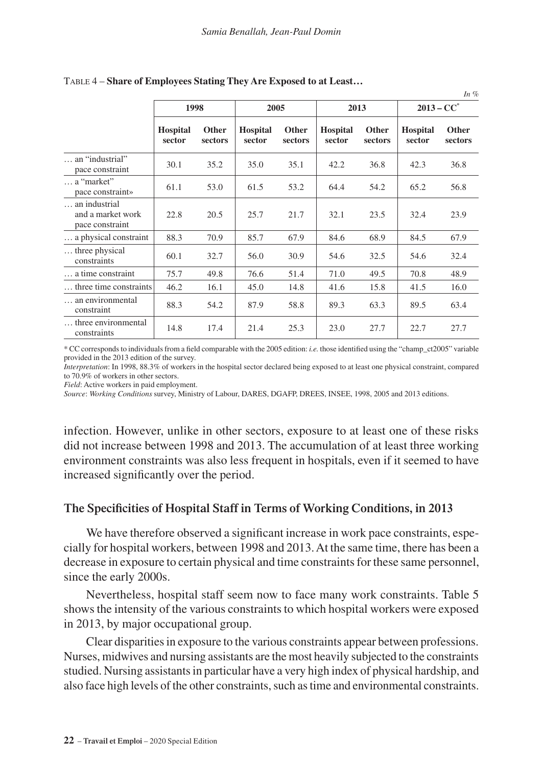|                                                       |                           |                         |                           |                  |                           |                  |                           | In $%$                  |
|-------------------------------------------------------|---------------------------|-------------------------|---------------------------|------------------|---------------------------|------------------|---------------------------|-------------------------|
|                                                       | 1998                      |                         | 2005                      |                  | 2013                      |                  | $2013 - CC^*$             |                         |
|                                                       | <b>Hospital</b><br>sector | <b>Other</b><br>sectors | <b>Hospital</b><br>sector | Other<br>sectors | <b>Hospital</b><br>sector | Other<br>sectors | <b>Hospital</b><br>sector | <b>Other</b><br>sectors |
| an "industrial"<br>pace constraint                    | 30.1                      | 35.2                    | 35.0                      | 35.1             | 42.2                      | 36.8             | 42.3                      | 36.8                    |
| $\ldots$ a "market"<br>pace constraint»               | 61.1                      | 53.0                    | 61.5                      | 53.2             | 64.4                      | 54.2             | 65.2                      | 56.8                    |
| an industrial<br>and a market work<br>pace constraint | 22.8                      | 20.5                    | 25.7                      | 21.7             | 32.1                      | 23.5             | 32.4                      | 23.9                    |
| a physical constraint                                 | 88.3                      | 70.9                    | 85.7                      | 67.9             | 84.6                      | 68.9             | 84.5                      | 67.9                    |
| three physical<br>constraints                         | 60.1                      | 32.7                    | 56.0                      | 30.9             | 54.6                      | 32.5             | 54.6                      | 32.4                    |
| a time constraint                                     | 75.7                      | 49.8                    | 76.6                      | 51.4             | 71.0                      | 49.5             | 70.8                      | 48.9                    |
| three time constraints                                | 46.2                      | 16.1                    | 45.0                      | 14.8             | 41.6                      | 15.8             | 41.5                      | 16.0                    |
| an environmental<br>constraint                        | 88.3                      | 54.2                    | 87.9                      | 58.8             | 89.3                      | 63.3             | 89.5                      | 63.4                    |
| three environmental<br>constraints                    | 14.8                      | 17.4                    | 21.4                      | 25.3             | 23.0                      | 27.7             | 22.7                      | 27.7                    |

#### Table 4 – **Share of Employees Stating They Are Exposed to at Least…**

\* CC corresponds to individuals from a field comparable with the 2005 edition: *i.e.* those identified using the "champ\_ct2005" variable provided in the 2013 edition of the survey.

*Interpretation*: In 1998, 88.3% of workers in the hospital sector declared being exposed to at least one physical constraint, compared to 70.9% of workers in other sectors.

*Field*: Active workers in paid employment.

*Source*: *Working Conditions* survey, Ministry of Labour, DARES, DGAFP, DREES, INSEE, 1998, 2005 and 2013 editions.

infection. However, unlike in other sectors, exposure to at least one of these risks did not increase between 1998 and 2013. The accumulation of at least three working environment constraints was also less frequent in hospitals, even if it seemed to have increased significantly over the period.

#### **The Specificities of Hospital Staff in Terms of Working Conditions, in 2013**

We have therefore observed a significant increase in work pace constraints, especially for hospital workers, between 1998 and 2013. At the same time, there has been a decrease in exposure to certain physical and time constraints for these same personnel, since the early 2000s.

Nevertheless, hospital staff seem now to face many work constraints. Table 5 shows the intensity of the various constraints to which hospital workers were exposed in 2013, by major occupational group.

Clear disparities in exposure to the various constraints appear between professions. Nurses, midwives and nursing assistants are the most heavily subjected to the constraints studied. Nursing assistants in particular have a very high index of physical hardship, and also face high levels of the other constraints, such as time and environmental constraints.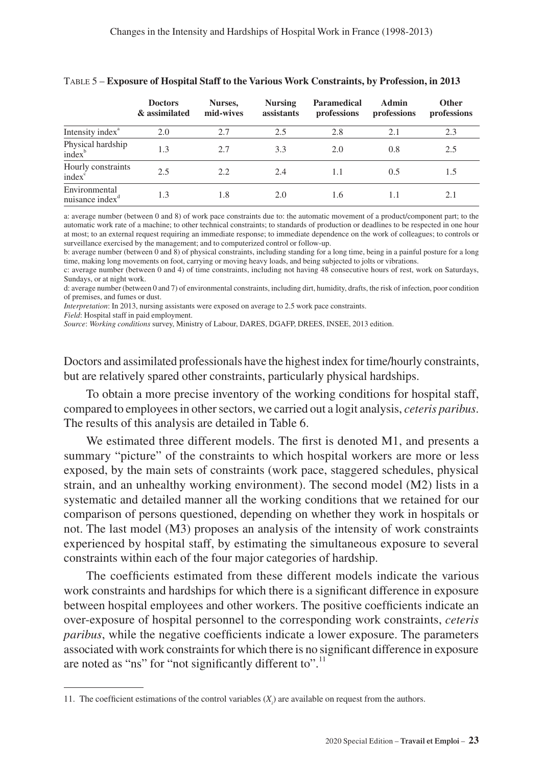|                                              | <b>Doctors</b><br>& assimilated | Nurses,<br>mid-wives | <b>Nursing</b><br>assistants | Paramedical<br>professions | Admin<br>professions | <b>Other</b><br>professions |
|----------------------------------------------|---------------------------------|----------------------|------------------------------|----------------------------|----------------------|-----------------------------|
| Intensity index <sup>a</sup>                 | 2.0                             | 2.7                  | 2.5                          | 2.8                        | 2.1                  | 2.3                         |
| Physical hardship<br>$index^b$               | 1.3                             | 2.7                  | 3.3                          | 2.0                        | 0.8                  | 2.5                         |
| Hourly constraints<br>index <sup>c</sup>     | 2.5                             | 2.2                  | 2.4                          | 1.1                        | 0.5                  | 1.5                         |
| Environmental<br>nuisance index <sup>a</sup> | 1.3                             | 1.8                  | 2.0                          | 1.6                        | 1.1                  | 2.1                         |

#### Table 5 – **Exposure of Hospital Staff to the Various Work Constraints, by Profession, in 2013**

a: average number (between 0 and 8) of work pace constraints due to: the automatic movement of a product/component part; to the automatic work rate of a machine; to other technical constraints; to standards of production or deadlines to be respected in one hour at most; to an external request requiring an immediate response; to immediate dependence on the work of colleagues; to controls or surveillance exercised by the management; and to computerized control or follow-up.

b: average number (between 0 and 8) of physical constraints, including standing for a long time, being in a painful posture for a long time, making long movements on foot, carrying or moving heavy loads, and being subjected to jolts or vibrations.

c: average number (between 0 and 4) of time constraints, including not having 48 consecutive hours of rest, work on Saturdays, Sundays, or at night work.

d: average number (between 0 and 7) of environmental constraints, including dirt, humidity, drafts, the risk of infection, poor condition of premises, and fumes or dust.

*Interpretation*: In 2013, nursing assistants were exposed on average to 2.5 work pace constraints.

*Field*: Hospital staff in paid employment.

*Source*: *Working conditions* survey, Ministry of Labour, DARES, DGAFP, DREES, INSEE, 2013 edition.

Doctors and assimilated professionals have the highest index for time/hourly constraints, but are relatively spared other constraints, particularly physical hardships.

To obtain a more precise inventory of the working conditions for hospital staff, compared to employees in other sectors, we carried out a logit analysis, *ceteris paribus*. The results of this analysis are detailed in Table 6.

We estimated three different models. The first is denoted M1, and presents a summary "picture" of the constraints to which hospital workers are more or less exposed, by the main sets of constraints (work pace, staggered schedules, physical strain, and an unhealthy working environment). The second model (M2) lists in a systematic and detailed manner all the working conditions that we retained for our comparison of persons questioned, depending on whether they work in hospitals or not. The last model (M3) proposes an analysis of the intensity of work constraints experienced by hospital staff, by estimating the simultaneous exposure to several constraints within each of the four major categories of hardship.

The coefficients estimated from these different models indicate the various work constraints and hardships for which there is a significant difference in exposure between hospital employees and other workers. The positive coefficients indicate an over-exposure of hospital personnel to the corresponding work constraints, *ceteris paribus*, while the negative coefficients indicate a lower exposure. The parameters associated with work constraints for which there is no significant difference in exposure are noted as "ns" for "not significantly different to".<sup>11</sup>

<sup>11.</sup> The coefficient estimations of the control variables  $(X<sub>i</sub>)$  are available on request from the authors.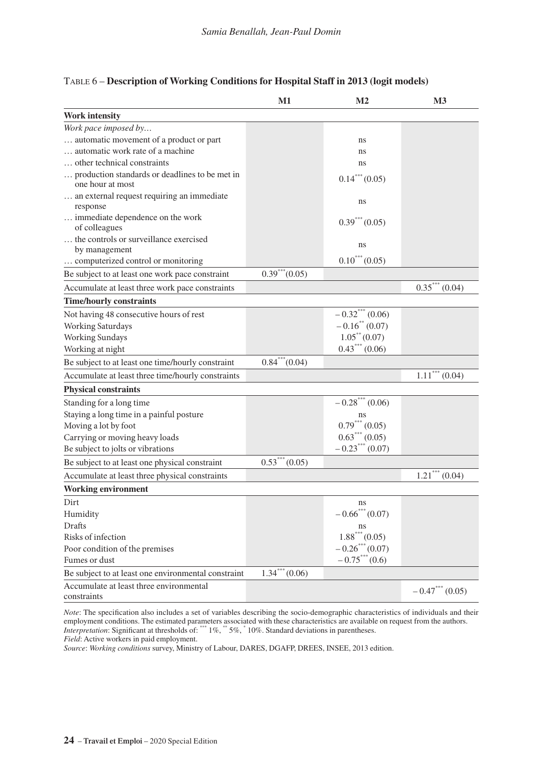|                                                                    | M1                             | M2                      | М3                             |
|--------------------------------------------------------------------|--------------------------------|-------------------------|--------------------------------|
| <b>Work intensity</b>                                              |                                |                         |                                |
| Work pace imposed by                                               |                                |                         |                                |
| automatic movement of a product or part                            |                                | ns                      |                                |
| automatic work rate of a machine.                                  |                                | ns                      |                                |
| other technical constraints                                        |                                | ns                      |                                |
| production standards or deadlines to be met in<br>one hour at most |                                | $0.14***(0.05)$         |                                |
| an external request requiring an immediate<br>response             |                                | ns                      |                                |
| immediate dependence on the work<br>of colleagues                  |                                | $0.39***(0.05)$         |                                |
| the controls or surveillance exercised                             |                                | ns                      |                                |
| by management                                                      |                                |                         |                                |
| computerized control or monitoring                                 |                                | $0.10^{***} (0.05)$     |                                |
| Be subject to at least one work pace constraint                    | $0.39***(0.05)$                |                         |                                |
| Accumulate at least three work pace constraints                    |                                |                         | $\overline{0.35}^{***}$ (0.04) |
| <b>Time/hourly constraints</b>                                     |                                |                         |                                |
| Not having 48 consecutive hours of rest                            |                                | $-0.32***(0.06)$        |                                |
| Working Saturdays                                                  |                                | $-0.16^{**}$ (0.07)     |                                |
| Working Sundays                                                    |                                | $1.05^{\ast\ast}(0.07)$ |                                |
| Working at night                                                   |                                | $0.43***(0.06)$         |                                |
| Be subject to at least one time/hourly constraint                  | $0.84^{***}(0.04)$             |                         |                                |
| Accumulate at least three time/hourly constraints                  |                                |                         | $1.11$ <sup>***</sup> $(0.04)$ |
| <b>Physical constraints</b>                                        |                                |                         |                                |
| Standing for a long time                                           |                                | $-0.28***(0.06)$        |                                |
| Staying a long time in a painful posture                           |                                | ns                      |                                |
| Moving a lot by foot                                               |                                | $0.79***(0.05)$         |                                |
| Carrying or moving heavy loads                                     |                                | $0.63***(0.05)$         |                                |
| Be subject to jolts or vibrations                                  |                                | $-0.23***(0.07)$        |                                |
| Be subject to at least one physical constraint                     | $0.53***(0.05)$                |                         |                                |
| Accumulate at least three physical constraints                     |                                |                         | $1.21***(0.04)$                |
| <b>Working environment</b>                                         |                                |                         |                                |
| Dirt                                                               |                                | ns                      |                                |
| Humidity                                                           |                                | $-0.66^{***}(0.07)$     |                                |
| Drafts                                                             |                                | ns                      |                                |
| Risks of infection                                                 |                                | $1.88$ *** (0.05)       |                                |
| Poor condition of the premises                                     |                                | $-0.26***(0.07)$        |                                |
| Fumes or dust                                                      |                                | $-0.75***(0.6)$         |                                |
| Be subject to at least one environmental constraint                | $\overline{1.34}^{***} (0.06)$ |                         |                                |
| Accumulate at least three environmental<br>constraints             |                                |                         | $-0.47***(0.05)$               |

#### Table 6 – **Description of Working Conditions for Hospital Staff in 2013 (logit models)**

*Note*: The specification also includes a set of variables describing the socio-demographic characteristics of individuals and their employment conditions. The estimated parameters associated with these characteristics are available on request from the authors.<br>*Interpretation*: Significant at thresholds of: \*\*\* 1%, \*\* 5%, \* 10%. Standard deviations in

*Field*: Active workers in paid employment.

*Source*: *Working conditions* survey, Ministry of Labour, DARES, DGAFP, DREES, INSEE, 2013 edition.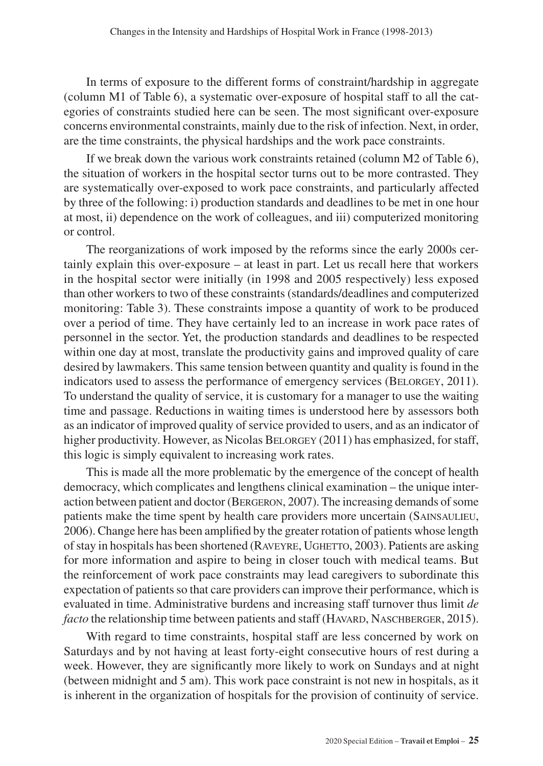In terms of exposure to the different forms of constraint/hardship in aggregate (column M1 of Table 6), a systematic over-exposure of hospital staff to all the categories of constraints studied here can be seen. The most significant over-exposure concerns environmental constraints, mainly due to the risk of infection. Next, in order, are the time constraints, the physical hardships and the work pace constraints.

If we break down the various work constraints retained (column M2 of Table 6), the situation of workers in the hospital sector turns out to be more contrasted. They are systematically over-exposed to work pace constraints, and particularly affected by three of the following: i) production standards and deadlines to be met in one hour at most, ii) dependence on the work of colleagues, and iii) computerized monitoring or control.

The reorganizations of work imposed by the reforms since the early 2000s certainly explain this over-exposure – at least in part. Let us recall here that workers in the hospital sector were initially (in 1998 and 2005 respectively) less exposed than other workers to two of these constraints (standards/deadlines and computerized monitoring: Table 3). These constraints impose a quantity of work to be produced over a period of time. They have certainly led to an increase in work pace rates of personnel in the sector. Yet, the production standards and deadlines to be respected within one day at most, translate the productivity gains and improved quality of care desired by lawmakers. This same tension between quantity and quality is found in the indicators used to assess the performance of emergency services (BELORGEY, 2011). To understand the quality of service, it is customary for a manager to use the waiting time and passage. Reductions in waiting times is understood here by assessors both as an indicator of improved quality of service provided to users, and as an indicator of higher productivity. However, as Nicolas BELORGEY (2011) has emphasized, for staff, this logic is simply equivalent to increasing work rates.

This is made all the more problematic by the emergence of the concept of health democracy, which complicates and lengthens clinical examination – the unique interaction between patient and doctor (Bergeron, 2007). The increasing demands of some patients make the time spent by health care providers more uncertain (SAINSAULIEU, 2006). Change here has been amplified by the greater rotation of patients whose length of stay in hospitals has been shortened (RAVEYRE, UGHETTO, 2003). Patients are asking for more information and aspire to being in closer touch with medical teams. But the reinforcement of work pace constraints may lead caregivers to subordinate this expectation of patients so that care providers can improve their performance, which is evaluated in time. Administrative burdens and increasing staff turnover thus limit *de facto* the relationship time between patients and staff (HAVARD, NASCHBERGER, 2015).

With regard to time constraints, hospital staff are less concerned by work on Saturdays and by not having at least forty-eight consecutive hours of rest during a week. However, they are significantly more likely to work on Sundays and at night (between midnight and 5 am). This work pace constraint is not new in hospitals, as it is inherent in the organization of hospitals for the provision of continuity of service.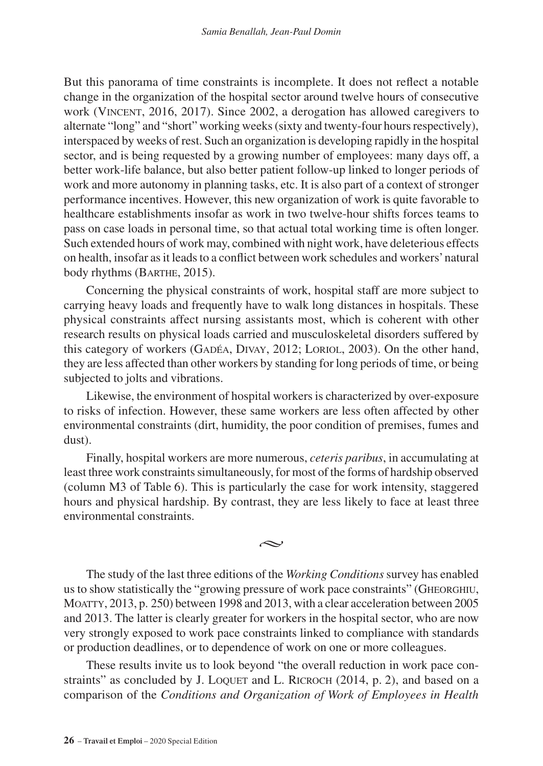But this panorama of time constraints is incomplete. It does not reflect a notable change in the organization of the hospital sector around twelve hours of consecutive work (VINCENT, 2016, 2017). Since 2002, a derogation has allowed caregivers to alternate "long" and "short" working weeks (sixty and twenty-four hours respectively), interspaced by weeks of rest. Such an organization is developing rapidly in the hospital sector, and is being requested by a growing number of employees: many days off, a better work-life balance, but also better patient follow-up linked to longer periods of work and more autonomy in planning tasks, etc. It is also part of a context of stronger performance incentives. However, this new organization of work is quite favorable to healthcare establishments insofar as work in two twelve-hour shifts forces teams to pass on case loads in personal time, so that actual total working time is often longer. Such extended hours of work may, combined with night work, have deleterious effects on health, insofar as it leads to a conflict between work schedules and workers' natural body rhythms (BARTHE, 2015).

Concerning the physical constraints of work, hospital staff are more subject to carrying heavy loads and frequently have to walk long distances in hospitals. These physical constraints affect nursing assistants most, which is coherent with other research results on physical loads carried and musculoskeletal disorders suffered by this category of workers (Gadéa, Divay, 2012; Loriol, 2003). On the other hand, they are less affected than other workers by standing for long periods of time, or being subjected to jolts and vibrations.

Likewise, the environment of hospital workers is characterized by over-exposure to risks of infection. However, these same workers are less often affected by other environmental constraints (dirt, humidity, the poor condition of premises, fumes and dust).

Finally, hospital workers are more numerous, *ceteris paribus*, in accumulating at least three work constraints simultaneously, for most of the forms of hardship observed (column M3 of Table 6). This is particularly the case for work intensity, staggered hours and physical hardship. By contrast, they are less likely to face at least three environmental constraints.

بحہ

The study of the last three editions of the *Working Conditions* survey has enabled us to show statistically the "growing pressure of work pace constraints" (Gheorghiu, MOATTY, 2013, p. 250) between 1998 and 2013, with a clear acceleration between 2005 and 2013. The latter is clearly greater for workers in the hospital sector, who are now very strongly exposed to work pace constraints linked to compliance with standards or production deadlines, or to dependence of work on one or more colleagues.

These results invite us to look beyond "the overall reduction in work pace constraints" as concluded by J. LOQUET and L. RICROCH (2014, p. 2), and based on a comparison of the *Conditions and Organization of Work of Employees in Health*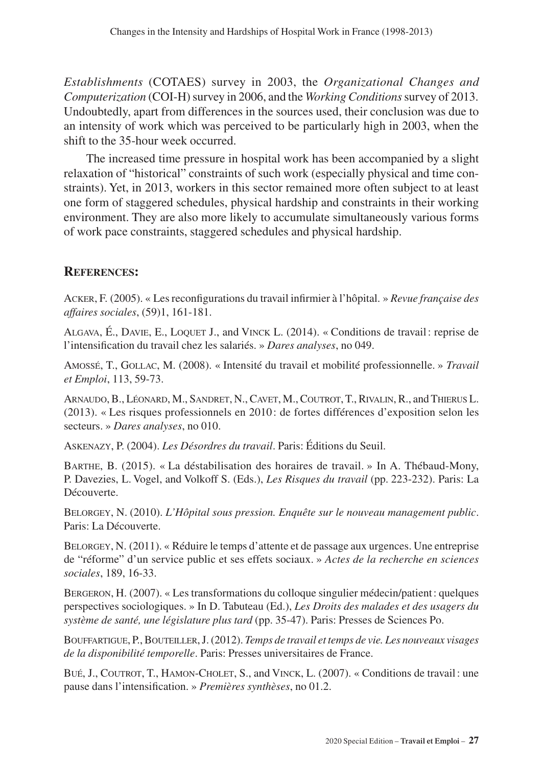*Establishments* (COTAES) survey in 2003, the *Organizational Changes and Computerization* (COI-H) survey in 2006, and the *Working Conditions* survey of 2013. Undoubtedly, apart from differences in the sources used, their conclusion was due to an intensity of work which was perceived to be particularly high in 2003, when the shift to the 35-hour week occurred.

The increased time pressure in hospital work has been accompanied by a slight relaxation of "historical" constraints of such work (especially physical and time constraints). Yet, in 2013, workers in this sector remained more often subject to at least one form of staggered schedules, physical hardship and constraints in their working environment. They are also more likely to accumulate simultaneously various forms of work pace constraints, staggered schedules and physical hardship.

## **References:**

Acker, F. (2005). « Les reconfigurations du travail infirmier à l'hôpital. » *Revue française des affaires sociales*, (59)1, 161-181.

Algava, É., Davie, E., Loquet J., and Vinck L. (2014). « Conditions de travail: reprise de l'intensification du travail chez les salariés. » *Dares analyses*, no 049.

Amossé, T., Gollac, M. (2008). « Intensité du travail et mobilité professionnelle. » *Travail et Emploi*, 113, 59-73.

Arnaudo, B., Léonard, M., Sandret, N., Cavet, M., Coutrot, T., Rivalin, R., andThierus L. (2013). « Les risques professionnels en 2010: de fortes différences d'exposition selon les secteurs. » *Dares analyses*, no 010.

Askenazy, P. (2004). *Les Désordres du travail*. Paris: Éditions du Seuil.

Barthe, B. (2015). « La déstabilisation des horaires de travail. » In A. Thébaud-Mony, P. Davezies, L. Vogel, and Volkoff S. (Eds.), *Les Risques du travail* (pp. 223-232). Paris: La Découverte.

BELORGEY, N. (2010). *L'Hôpital sous pression. Enquête sur le nouveau management public*. Paris: La Découverte.

Belorgey, N. (2011). « Réduire le temps d'attente et de passage aux urgences. Une entreprise de "réforme" d'un service public et ses effets sociaux. » *Actes de la recherche en sciences sociales*, 189, 16-33.

Bergeron, H. (2007). « Les transformations du colloque singulier médecin/patient: quelques perspectives sociologiques. » In D. Tabuteau (Ed.), *Les Droits des malades et des usagers du système de santé, une législature plus tard* (pp. 35-47). Paris: Presses de Sciences Po.

Bouffartigue, P., Bouteiller, J. (2012). *Temps de travail et temps de vie. Les nouveaux visages de la disponibilité temporelle*. Paris: Presses universitaires de France.

Bué, J., Coutrot, T., Hamon-Cholet, S., and Vinck, L. (2007). « Conditions de travail: une pause dans l'intensification. » *Premières synthèses*, no 01.2.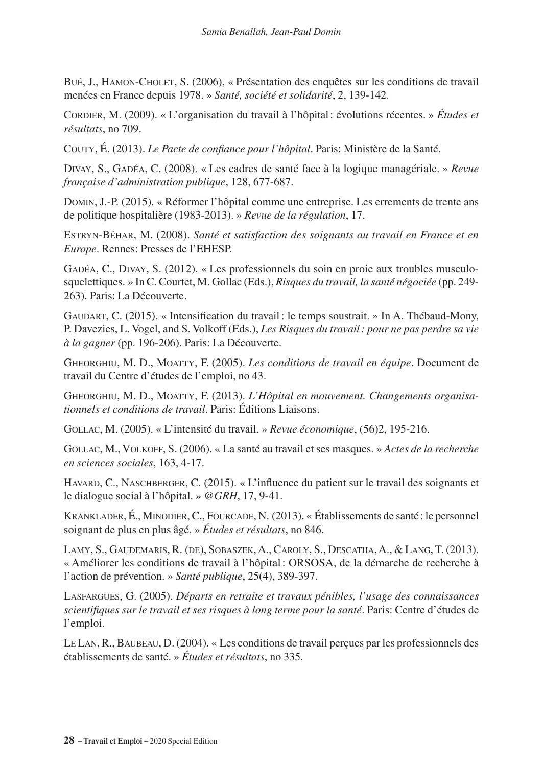Bué, J., Hamon-Cholet, S. (2006), « Présentation des enquêtes sur les conditions de travail menées en France depuis 1978. » *Santé, société et solidarité*, 2, 139-142.

Cordier, M. (2009). « L'organisation du travail à l'hôpital: évolutions récentes. » *Études et résultats*, no 709.

Couty, É. (2013). *Le Pacte de confiance pour l'hôpital*. Paris: Ministère de la Santé.

Divay, S., Gadéa, C. (2008). « Les cadres de santé face à la logique managériale. » *Revue française d'administration publique*, 128, 677-687.

Domin, J.-P. (2015). « Réformer l'hôpital comme une entreprise. Les errements de trente ans de politique hospitalière (1983-2013). » *Revue de la régulation*, 17.

Estryn-Béhar, M. (2008). *Santé et satisfaction des soignants au travail en France et en Europe*. Rennes: Presses de l'EHESP.

Gadéa, C., Divay, S. (2012). « Les professionnels du soin en proie aux troubles musculosquelettiques. » In C. Courtet, M. Gollac (Eds.), *Risques du travail, la santé négociée* (pp. 249- 263). Paris: La Découverte.

Gaudart, C. (2015). « Intensification du travail: le temps soustrait. » In A. Thébaud-Mony, P. Davezies, L. Vogel, and S. Volkoff (Eds.), *Les Risques du travail: pour ne pas perdre sa vie à la gagner* (pp. 196-206). Paris: La Découverte.

Gheorghiu, M. D., Moatty, F. (2005). *Les conditions de travail en équipe*. Document de travail du Centre d'études de l'emploi, no 43.

Gheorghiu, M. D., Moatty, F. (2013). *L'Hôpital en mouvement. Changements organisationnels et conditions de travail*. Paris: Éditions Liaisons.

Gollac, M. (2005). « L'intensité du travail. » *Revue économique*, (56)2, 195-216.

Gollac, M., Volkoff, S. (2006). « La santé au travail et ses masques. » *Actes de la recherche en sciences sociales*, 163, 4-17.

HAVARD, C., NASCHBERGER, C. (2015). « L'influence du patient sur le travail des soignants et le dialogue social à l'hôpital. » *@GRH*, 17, 9-41.

Kranklader, É., Minodier, C., Fourcade, N. (2013). « Établissements de santé : le personnel soignant de plus en plus âgé. » *Études et résultats*, no 846.

Lamy, S., Gaudemaris, R. (de), Sobaszek, A., Caroly, S., Descatha, A., & Lang, T. (2013). « Améliorer les conditions de travail à l'hôpital: ORSOSA, de la démarche de recherche à l'action de prévention. » *Santé publique*, 25(4), 389-397.

Lasfargues, G. (2005). *Départs en retraite et travaux pénibles, l'usage des connaissances scientifiques sur le travail et ses risques à long terme pour la santé*. Paris: Centre d'études de l'emploi.

Le Lan, R., Baubeau, D. (2004). « Les conditions de travail perçues par les professionnels des établissements de santé. » *Études et résultats*, no 335.